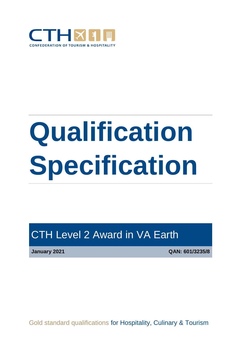

# **Qualification Specification**

# CTH Level 2 Award in VA Earth

**January 2021 QAN: 601/3235/8**

Gold standard qualifications for Hospitality, Culinary & Tourism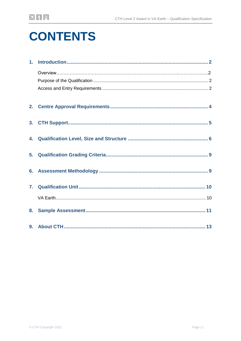# **CONTENTS**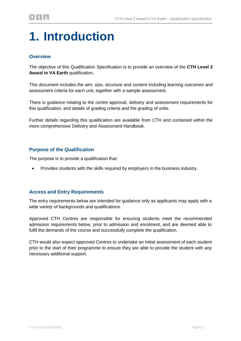# <span id="page-2-0"></span>**1. Introduction**

### **Overview**

The objective of this Qualification Specification is to provide an overview of the **CTH Level 2 Award in VA Earth** qualification.

This document includes the aim, size, structure and content including learning outcomes and assessment criteria for each unit, together with a sample assessment.

There is guidance relating to the centre approval, delivery and assessment requirements for this qualification, and details of grading criteria and the grading of units.

Further details regarding this qualification are available from CTH and contained within the more comprehensive Delivery and Assessment Handbook.

### **Purpose of the Qualification**

The purpose is to provide a qualification that:

Provides students with the skills required by employers in the business industry.

### **Access and Entry Requirements**

The entry requirements below are intended for guidance only as applicants may apply with a wide variety of backgrounds and qualifications.

Approved CTH Centres are responsible for ensuring students meet the recommended admission requirements below, prior to admission and enrolment, and are deemed able to fulfil the demands of the course and successfully complete the qualification.

CTH would also expect approved Centres to undertake an initial assessment of each student prior to the start of their programme to ensure they are able to provide the student with any necessary additional support.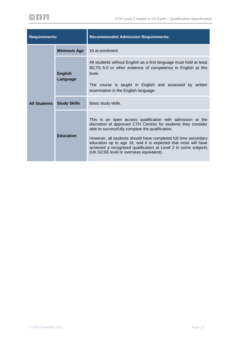| <b>Requirements:</b> |                            | <b>Recommended Admission Requirements:</b>                                                                                                                                                                                                                                                                                                                                                                                         |  |  |
|----------------------|----------------------------|------------------------------------------------------------------------------------------------------------------------------------------------------------------------------------------------------------------------------------------------------------------------------------------------------------------------------------------------------------------------------------------------------------------------------------|--|--|
|                      | <b>Minimum Age</b>         | 16 at enrolment.                                                                                                                                                                                                                                                                                                                                                                                                                   |  |  |
|                      | <b>English</b><br>Language | All students without English as a first language must hold at least<br>IELTS 5.0 or other evidence of competence in English at this<br>level.<br>The course is taught in English and assessed by written<br>examination in the English language.                                                                                                                                                                                   |  |  |
| <b>All Students</b>  | <b>Study Skills</b>        | Basic study skills.                                                                                                                                                                                                                                                                                                                                                                                                                |  |  |
|                      | <b>Education</b>           | This is an open access qualification with admission at the<br>discretion of approved CTH Centres for students they consider<br>able to successfully complete the qualification.<br>However, all students should have completed full time secondary<br>education up to age 16, and it is expected that most will have<br>achieved a recognised qualification at Level 2 in some subjects<br>(UK GCSE level or overseas equivalent). |  |  |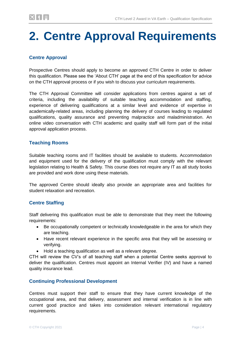# <span id="page-4-0"></span>**2. Centre Approval Requirements**

# **Centre Approval**

Prospective Centres should apply to become an approved CTH Centre in order to deliver this qualification. Please see the 'About CTH' page at the end of this specification for advice on the CTH approval process or if you wish to discuss your curriculum requirements.

The CTH Approval Committee will consider applications from centres against a set of criteria, including the availability of suitable teaching accommodation and staffing, experience of delivering qualifications at a similar level and evidence of expertise in academically-related areas, including planning the delivery of courses leading to regulated qualifications, quality assurance and preventing malpractice and maladministration. An online video conversation with CTH academic and quality staff will form part of the initial approval application process.

## **Teaching Rooms**

Suitable teaching rooms and IT facilities should be available to students. Accommodation and equipment used for the delivery of the qualification must comply with the relevant legislation relating to Health & Safety. This course does not require any IT as all study books are provided and work done using these materials.

The approved Centre should ideally also provide an appropriate area and facilities for student relaxation and recreation.

# **Centre Staffing**

Staff delivering this qualification must be able to demonstrate that they meet the following requirements:

- Be occupationally competent or technically knowledgeable in the area for which they are teaching.
- Have recent relevant experience in the specific area that they will be assessing or verifying.
- Hold a teaching qualification as well as a relevant degree.

CTH will review the CV's of all teaching staff when a potential Centre seeks approval to deliver the qualification. Centres must appoint an Internal Verifier (IV) and have a named quality insurance lead.

# **Continuing Professional Development**

Centres must support their staff to ensure that they have current knowledge of the occupational area, and that delivery, assessment and internal verification is in line with current good practice and takes into consideration relevant international regulatory requirements.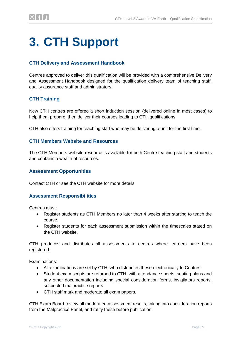# <span id="page-5-0"></span>**3. CTH Support**

### **CTH Delivery and Assessment Handbook**

Centres approved to deliver this qualification will be provided with a comprehensive Delivery and Assessment Handbook designed for the qualification delivery team of teaching staff, quality assurance staff and administrators.

### **CTH Training**

New CTH centres are offered a short induction session (delivered online in most cases) to help them prepare, then deliver their courses leading to CTH qualifications.

CTH also offers training for teaching staff who may be delivering a unit for the first time.

#### **CTH Members Website and Resources**

The CTH Members website resource is available for both Centre teaching staff and students and contains a wealth of resources.

#### **Assessment Opportunities**

Contact CTH or see the CTH website for more details.

#### **Assessment Responsibilities**

Centres must:

- Register students as CTH Members no later than 4 weeks after starting to teach the course.
- Register students for each assessment submission within the timescales stated on the CTH website.

CTH produces and distributes all assessments to centres where learners have been registered.

Examinations:

- All examinations are set by CTH, who distributes these electronically to Centres.
- Student exam scripts are returned to CTH, with attendance sheets, seating plans and any other documentation including special consideration forms, invigilators reports, suspected malpractice reports.
- CTH staff mark and moderate all exam papers.

CTH Exam Board review all moderated assessment results, taking into consideration reports from the Malpractice Panel, and ratify these before publication.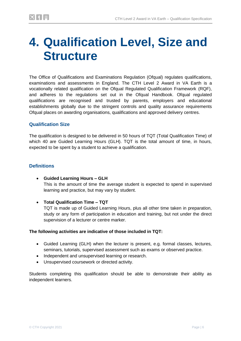# <span id="page-6-0"></span>**4. Qualification Level, Size and Structure**

The Office of Qualifications and Examinations Regulation (Ofqual) regulates qualifications, examinations and assessments in England. The CTH Level 2 Award in VA Earth is a vocationally related qualification on the Ofqual Regulated Qualification Framework (RQF), and adheres to the regulations set out in the Ofqual Handbook. Ofqual regulated qualifications are recognised and trusted by parents, employers and educational establishments globally due to the stringent controls and quality assurance requirements Ofqual places on awarding organisations, qualifications and approved delivery centres.

### **Qualification Size**

The qualification is designed to be delivered in 50 hours of TQT (Total Qualification Time) of which 40 are Guided Learning Hours (GLH). TQT is the total amount of time, in hours, expected to be spent by a student to achieve a qualification.

#### **Definitions**

- **Guided Learning Hours – GLH** This is the amount of time the average student is expected to spend in supervised learning and practice, but may vary by student.
- **Total Qualification Time – TQT**

TQT is made up of Guided Learning Hours, plus all other time taken in preparation, study or any form of participation in education and training, but not under the direct supervision of a lecturer or centre marker.

#### **The following activities are indicative of those included in TQT:**

- Guided Learning (GLH) when the lecturer is present, e.g. formal classes, lectures, seminars, tutorials, supervised assessment such as exams or observed practice.
- Independent and unsupervised learning or research.
- Unsupervised coursework or directed activity.

Students completing this qualification should be able to demonstrate their ability as independent learners.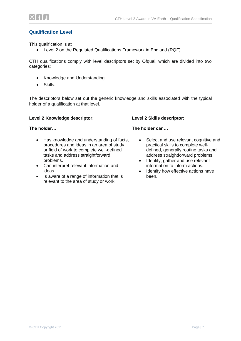

#### **Qualification Level**

This qualification is at

Level 2 on the Regulated Qualifications Framework in England (RQF).

CTH qualifications comply with level descriptors set by Ofqual, which are divided into two categories:

- Knowledge and Understanding.
- Skills.

The descriptors below set out the generic knowledge and skills associated with the typical holder of a qualification at that level.

| Level 2 Knowledge descriptor:                                                                                                                                                                                                                                                                                                                              | Level 2 Skills descriptor:<br>The holder can                                                                                                                                                                                                                                                                           |  |  |
|------------------------------------------------------------------------------------------------------------------------------------------------------------------------------------------------------------------------------------------------------------------------------------------------------------------------------------------------------------|------------------------------------------------------------------------------------------------------------------------------------------------------------------------------------------------------------------------------------------------------------------------------------------------------------------------|--|--|
| The holder                                                                                                                                                                                                                                                                                                                                                 |                                                                                                                                                                                                                                                                                                                        |  |  |
| Has knowledge and understanding of facts,<br>$\bullet$<br>procedures and ideas in an area of study<br>or field of work to complete well-defined<br>tasks and address straightforward<br>problems.<br>Can interpret relevant information and<br>ideas.<br>Is aware of a range of information that is<br>$\bullet$<br>relevant to the area of study or work. | Select and use relevant cognitive and<br>$\bullet$<br>practical skills to complete well-<br>defined, generally routine tasks and<br>address straightforward problems.<br>Identify, gather and use relevant<br>$\bullet$<br>information to inform actions.<br>Identify how effective actions have<br>$\bullet$<br>been. |  |  |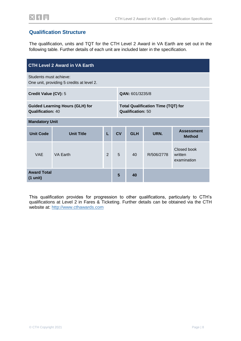

### **Qualification Structure**

The qualification, units and TQT for the CTH Level 2 Award in VA Earth are set out in the following table. Further details of each unit are included later in the specification.

| <b>CTH Level 2 Award in VA Earth</b>                                |                   |                |    |                          |                                           |                                       |
|---------------------------------------------------------------------|-------------------|----------------|----|--------------------------|-------------------------------------------|---------------------------------------|
| Students must achieve:<br>One unit, providing 5 credits at level 2. |                   |                |    |                          |                                           |                                       |
| Credit Value (CV): 5                                                |                   |                |    | QAN: 601/3235/8          |                                           |                                       |
| <b>Guided Learning Hours (GLH) for</b><br><b>Qualification: 40</b>  |                   |                |    | <b>Qualification: 50</b> | <b>Total Qualification Time (TQT) for</b> |                                       |
| <b>Mandatory Unit</b>                                               |                   |                |    |                          |                                           |                                       |
| <b>Unit Code</b>                                                    | <b>Unit Title</b> | L              | CV | <b>GLH</b>               | URN.                                      | <b>Assessment</b><br><b>Method</b>    |
| <b>VAF</b>                                                          | VA Earth          | $\overline{2}$ | 5  | 40                       | R/506/2778                                | Closed book<br>written<br>examination |
| <b>Award Total</b><br>$(1 \text{ unit})$                            |                   |                | 5  | 40                       |                                           |                                       |

This qualification provides for progression to other qualifications, particularly to CTH's qualifications at Level 2 in Fares & Ticketing. Further details can be obtained via the CTH website at: [http://www.cthawards.com](http://www.cthawards.com/)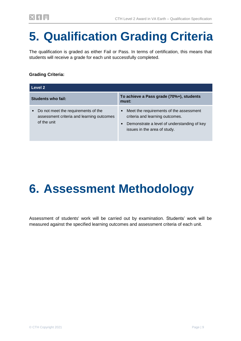# <span id="page-9-0"></span>**5. Qualification Grading Criteria**

The qualification is graded as either Fail or Pass. In terms of certification, this means that students will receive a grade for each unit successfully completed.

### **Grading Criteria:**

| Level 2                                                                                                      |                                                                                                                                                                                     |  |  |
|--------------------------------------------------------------------------------------------------------------|-------------------------------------------------------------------------------------------------------------------------------------------------------------------------------------|--|--|
| Students who fail:                                                                                           | To achieve a Pass grade (70%+), students<br>must:                                                                                                                                   |  |  |
| Do not meet the requirements of the<br>$\bullet$<br>assessment criteria and learning outcomes<br>of the unit | Meet the requirements of the assessment<br>$\bullet$<br>criteria and learning outcomes.<br>Demonstrate a level of understanding of key<br>$\bullet$<br>issues in the area of study. |  |  |

# <span id="page-9-1"></span>**6. Assessment Methodology**

Assessment of students' work will be carried out by examination. Students' work will be measured against the specified learning outcomes and assessment criteria of each unit.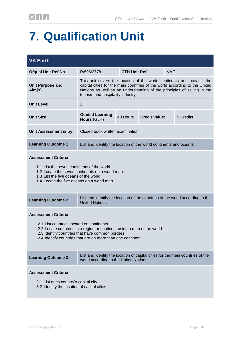# <span id="page-10-0"></span>**7. Qualification Unit**

<span id="page-10-1"></span>

| <b>VA Earth</b>                                                                                                                                                                                                                                                       |                                                                                                                                                                                                                                                                     |                      |                      |     |                                                                               |
|-----------------------------------------------------------------------------------------------------------------------------------------------------------------------------------------------------------------------------------------------------------------------|---------------------------------------------------------------------------------------------------------------------------------------------------------------------------------------------------------------------------------------------------------------------|----------------------|----------------------|-----|-------------------------------------------------------------------------------|
| <b>Ofqual Unit Ref No.</b>                                                                                                                                                                                                                                            | R/506/2778                                                                                                                                                                                                                                                          | <b>CTH Unit Ref:</b> |                      | VAE |                                                                               |
| <b>Unit Purpose and</b><br>Aim(s)                                                                                                                                                                                                                                     | This unit covers the location of the world continents and oceans, the<br>capital cities for the main countries of the world according to the United<br>Nations as well as an understanding of the principles of selling in the<br>tourism and hospitality industry. |                      |                      |     |                                                                               |
| <b>Unit Level</b>                                                                                                                                                                                                                                                     | $\overline{2}$                                                                                                                                                                                                                                                      |                      |                      |     |                                                                               |
| <b>Unit Size</b>                                                                                                                                                                                                                                                      | <b>Guided Learning</b><br>Hours (GLH)                                                                                                                                                                                                                               | 40 Hours             | <b>Credit Value:</b> |     | 5 Credits                                                                     |
| Unit Assessment is by:                                                                                                                                                                                                                                                | Closed book written examination.                                                                                                                                                                                                                                    |                      |                      |     |                                                                               |
| <b>Learning Outcome 1</b>                                                                                                                                                                                                                                             | List and identify the location of the world continents and oceans.                                                                                                                                                                                                  |                      |                      |     |                                                                               |
| <b>Assessment Criteria</b><br>1.1 List the seven continents of the world.<br>1.2 Locate the seven continents on a world map.<br>1.3 List the five oceans of the world.<br>1.4 Locate the five oceans on a world map.                                                  |                                                                                                                                                                                                                                                                     |                      |                      |     |                                                                               |
| <b>Learning Outcome 2</b>                                                                                                                                                                                                                                             | <b>United Nations.</b>                                                                                                                                                                                                                                              |                      |                      |     | List and identify the location of the countries of the world according to the |
| <b>Assessment Criteria</b><br>2.1 List countries located on continents.<br>2.2 Locate countries in a region or continent using a map of the world.<br>2.3 Identify countries that have common borders.<br>2.4 Identify countries that are on more than one continent. |                                                                                                                                                                                                                                                                     |                      |                      |     |                                                                               |
| <b>Learning Outcome 3</b>                                                                                                                                                                                                                                             | List and identify the location of capital cities for the main countries of the<br>world according to the United Nations.                                                                                                                                            |                      |                      |     |                                                                               |
| <b>Assessment Criteria</b><br>3.1 List each country's capital city.<br>3.2 Identify the location of capital cities.                                                                                                                                                   |                                                                                                                                                                                                                                                                     |                      |                      |     |                                                                               |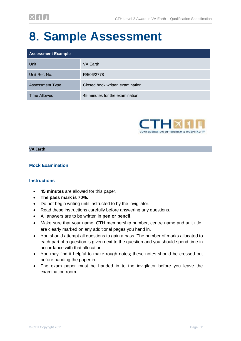# **8. Sample Assessment**

| <b>Assessment Example</b> |                                  |  |  |
|---------------------------|----------------------------------|--|--|
| Unit                      | VA Earth                         |  |  |
| Unit Ref. No.             | R/506/2778                       |  |  |
| <b>Assessment Type</b>    | Closed book written examination. |  |  |
| <b>Time Allowed</b>       | 45 minutes for the examination   |  |  |



#### **VA Earth**

#### **Mock Examination**

#### **Instructions**

- **45 minutes** are allowed for this paper.
- **The pass mark is 70%.**
- Do not begin writing until instructed to by the invigilator.
- Read these instructions carefully before answering any questions.
- All answers are to be written in **pen or pencil**.
- Make sure that your name, CTH membership number, centre name and unit title are clearly marked on any additional pages you hand in.
- You should attempt all questions to gain a pass. The number of marks allocated to each part of a question is given next to the question and you should spend time in accordance with that allocation.
- You may find it helpful to make rough notes; these notes should be crossed out before handing the paper in.
- The exam paper must be handed in to the invigilator before you leave the examination room.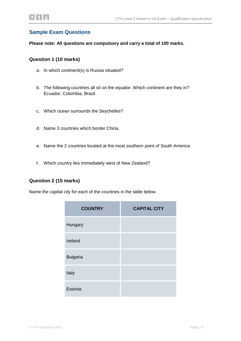### **Sample Exam Questions**

**Please note: All questions are compulsory and carry a total of 100 marks.**

#### **Question 1 (10 marks)**

- a. In which continent(s) is Russia situated?
- b. The following countries all sit on the equator. Which continent are they in? Ecuador, Colombia, Brazil
- c. Which ocean surrounds the Seychelles?
- d. Name 3 countries which border China.
- e. Name the 2 countries located at the most southern point of South America.
- f. Which country lies immediately west of New Zealand?

#### **Question 2 (15 marks)**

Name the capital city for each of the countries in the table below.

| <b>COUNTRY</b>  | <b>CAPITAL CITY</b> |
|-----------------|---------------------|
| Hungary         |                     |
| Ireland         |                     |
| <b>Bulgaria</b> |                     |
| Italy           |                     |
| Estonia         |                     |